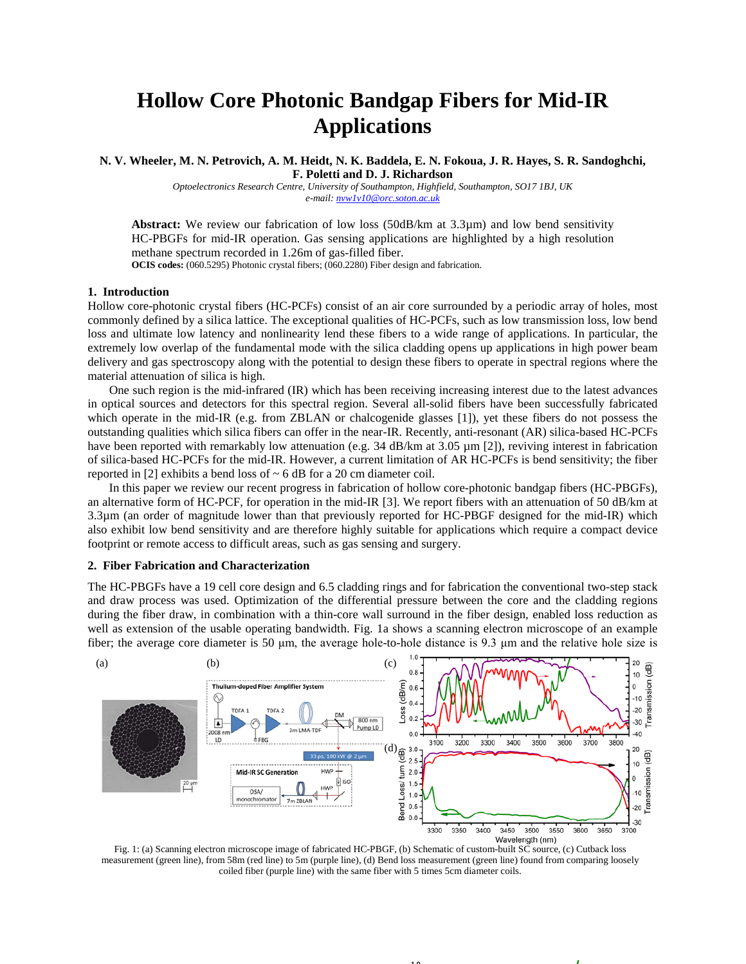# **Hollow Core Photonic Bandgap Fibers for Mid-IR Applications**

**N. V. Wheeler, M. N. Petrovich, A. M. Heidt, N. K. Baddela, E. N. Fokoua, J. R. Hayes, S. R. Sandoghchi, F. Poletti and D. J. Richardson**

*Optoelectronics Research Centre, University of Southampton, Highfield, Southampton, SO17 1BJ, UK e-mail[: nvw1v10@orc.soton.ac.uk](mailto:nvw1v10@orc.soton.ac.uk)*

**Abstract:** We review our fabrication of low loss (50dB/km at 3.3µm) and low bend sensitivity HC-PBGFs for mid-IR operation. Gas sensing applications are highlighted by a high resolution methane spectrum recorded in 1.26m of gas-filled fiber. **OCIS codes:** (060.5295) Photonic crystal fibers; (060.2280) Fiber design and fabrication.

#### **1. Introduction**

Hollow core-photonic crystal fibers (HC-PCFs) consist of an air core surrounded by a periodic array of holes, most commonly defined by a silica lattice. The exceptional qualities of HC-PCFs, such as low transmission loss, low bend loss and ultimate low latency and nonlinearity lend these fibers to a wide range of applications. In particular, the extremely low overlap of the fundamental mode with the silica cladding opens up applications in high power beam delivery and gas spectroscopy along with the potential to design these fibers to operate in spectral regions where the material attenuation of silica is high.

One such region is the mid-infrared (IR) which has been receiving increasing interest due to the latest advances in optical sources and detectors for this spectral region. Several all-solid fibers have been successfully fabricated which operate in the mid-IR (e.g. from ZBLAN or chalcogenide glasses [1]), yet these fibers do not possess the outstanding qualities which silica fibers can offer in the near-IR. Recently, anti-resonant (AR) silica-based HC-PCFs have been reported with remarkably low attenuation (e.g. 34 dB/km at 3.05  $\mu$ m [2]), reviving interest in fabrication of silica-based HC-PCFs for the mid-IR. However, a current limitation of AR HC-PCFs is bend sensitivity; the fiber reported in [2] exhibits a bend loss of  $\sim$  6 dB for a 20 cm diameter coil.

In this paper we review our recent progress in fabrication of hollow core-photonic bandgap fibers (HC-PBGFs), an alternative form of HC-PCF, for operation in the mid-IR [3]. We report fibers with an attenuation of 50 dB/km at 3.3µm (an order of magnitude lower than that previously reported for HC-PBGF designed for the mid-IR) which also exhibit low bend sensitivity and are therefore highly suitable for applications which require a compact device footprint or remote access to difficult areas, such as gas sensing and surgery.

## **2. Fiber Fabrication and Characterization**

The HC-PBGFs have a 19 cell core design and 6.5 cladding rings and for fabrication the conventional two-step stack and draw process was used. Optimization of the differential pressure between the core and the cladding regions during the fiber draw, in combination with a thin-core wall surround in the fiber design, enabled loss reduction as well as extension of the usable operating bandwidth. Fig. 1a shows a scanning electron microscope of an example fiber; the average core diameter is 50 μm, the average hole-to-hole distance is 9.3 μm and the relative hole size is



Fig. 1: (a) Scanning electron microscope image of fabricated HC-PBGF, (b) Schematic of custom-built SC source, (c) Cutback loss measurement (green line), from 58m (red line) to 5m (purple line), (d) Bend loss measurement (green line) found from comparing loosely coiled fiber (purple line) with the same fiber with 5 times 5cm diameter coils.

 $\sim$